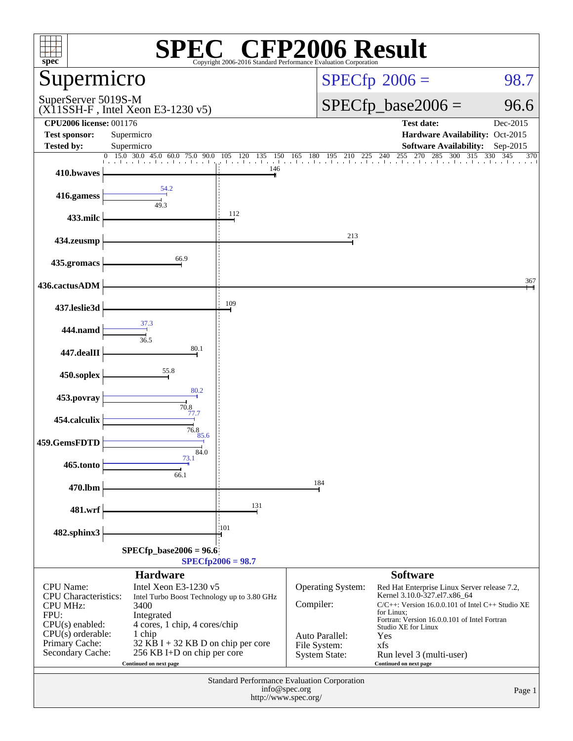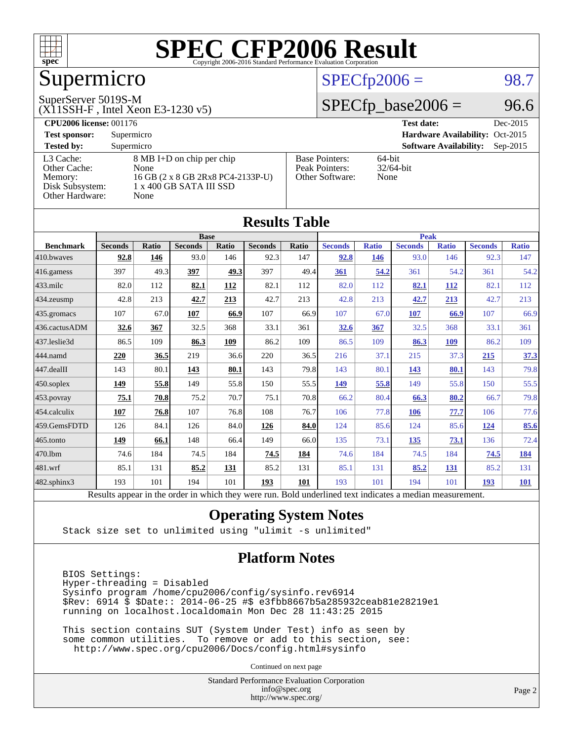

# Supermicro

#### SuperServer 5019S-M

(X11SSH-F , Intel Xeon E3-1230 v5)

#### $SPECfp2006 = 98.7$  $SPECfp2006 = 98.7$

#### $SPECfp\_base2006 = 96.6$

| <b>CPU2006 license: 001176</b> |                                   |                                 | <b>Test date:</b><br>Dec-2015               |
|--------------------------------|-----------------------------------|---------------------------------|---------------------------------------------|
| <b>Test sponsor:</b>           | Supermicro                        | Hardware Availability: Oct-2015 |                                             |
| <b>Tested by:</b>              | Supermicro                        |                                 | <b>Software Availability:</b><br>$Sep-2015$ |
| L3 Cache:                      | 8 MB I+D on chip per chip         | <b>Base Pointers:</b>           | $64$ -bit                                   |
| Other Cache:                   | None                              | Peak Pointers:                  | $32/64$ -bit                                |
| Memory:                        | 16 GB (2 x 8 GB 2Rx8 PC4-2133P-U) | Other Software:                 | None                                        |
| Disk Subsystem:                | 1 x 400 GB SATA III SSD           |                                 |                                             |
| Other Hardware:                | None                              |                                 |                                             |

**[Results Table](http://www.spec.org/auto/cpu2006/Docs/result-fields.html#ResultsTable)**

|                  |                                                                                                          |       |                |       | Results Tadie  |             |                |              |                |              |                |              |
|------------------|----------------------------------------------------------------------------------------------------------|-------|----------------|-------|----------------|-------------|----------------|--------------|----------------|--------------|----------------|--------------|
|                  | <b>Base</b>                                                                                              |       |                |       |                | <b>Peak</b> |                |              |                |              |                |              |
| <b>Benchmark</b> | <b>Seconds</b>                                                                                           | Ratio | <b>Seconds</b> | Ratio | <b>Seconds</b> | Ratio       | <b>Seconds</b> | <b>Ratio</b> | <b>Seconds</b> | <b>Ratio</b> | <b>Seconds</b> | <b>Ratio</b> |
| 410.bwaves       | 92.8                                                                                                     | 146   | 93.0           | 146   | 92.3           | 147         | 92.8           | 146          | 93.0           | 146          | 92.3           | 147          |
| 416.gamess       | 397                                                                                                      | 49.3  | 397            | 49.3  | 397            | 49.4        | 361            | 54.2         | 361            | 54.2         | 361            | 54.2         |
| 433.milc         | 82.0                                                                                                     | 112   | 82.1           | 112   | 82.1           | 112         | 82.0           | 112          | 82.1           | 112          | 82.1           | 112          |
| 434.zeusmp       | 42.8                                                                                                     | 213   | 42.7           | 213   | 42.7           | 213         | 42.8           | 213          | 42.7           | 213          | 42.7           | 213          |
| 435.gromacs      | 107                                                                                                      | 67.0  | 107            | 66.9  | 107            | 66.9        | 107            | 67.0         | 107            | 66.9         | 107            | 66.9         |
| 436.cactusADM    | 32.6                                                                                                     | 367   | 32.5           | 368   | 33.1           | 361         | 32.6           | 367          | 32.5           | 368          | 33.1           | 361          |
| 437.leslie3d     | 86.5                                                                                                     | 109   | 86.3           | 109   | 86.2           | 109         | 86.5           | 109          | 86.3           | 109          | 86.2           | 109          |
| 444.namd         | 220                                                                                                      | 36.5  | 219            | 36.6  | 220            | 36.5        | 216            | 37.1         | 215            | 37.3         | 215            | 37.3         |
| 447.dealII       | 143                                                                                                      | 80.1  | 143            | 80.1  | 143            | 79.8        | 143            | 80.1         | 143            | 80.1         | 143            | 79.8         |
| 450.soplex       | 149                                                                                                      | 55.8  | 149            | 55.8  | 150            | 55.5        | 149            | 55.8         | 149            | 55.8         | 150            | 55.5         |
| 453.povray       | 75.1                                                                                                     | 70.8  | 75.2           | 70.7  | 75.1           | 70.8        | 66.2           | 80.4         | 66.3           | 80.2         | 66.7           | 79.8         |
| 454.calculix     | 107                                                                                                      | 76.8  | 107            | 76.8  | 108            | 76.7        | 106            | 77.8         | 106            | 77.7         | 106            | 77.6         |
| 459.GemsFDTD     | 126                                                                                                      | 84.1  | 126            | 84.0  | 126            | 84.0        | 124            | 85.6         | 124            | 85.6         | <u>124</u>     | 85.6         |
| 465.tonto        | 149                                                                                                      | 66.1  | 148            | 66.4  | 149            | 66.0        | 135            | 73.1         | <u>135</u>     | <u>73.1</u>  | 136            | 72.4         |
| 470.1bm          | 74.6                                                                                                     | 184   | 74.5           | 184   | 74.5           | 184         | 74.6           | 184          | 74.5           | 184          | 74.5           | 184          |
| 481.wrf          | 85.1                                                                                                     | 131   | 85.2           | 131   | 85.2           | 131         | 85.1           | 131          | 85.2           | 131          | 85.2           | 131          |
| 482.sphinx3      | 193                                                                                                      | 101   | 194            | 101   | 193            | 101         | 193            | 101          | 194            | 101          | 193            | <u>101</u>   |
|                  | Results appear in the order in which they were run. Bold underlined text indicates a median measurement. |       |                |       |                |             |                |              |                |              |                |              |

#### **[Operating System Notes](http://www.spec.org/auto/cpu2006/Docs/result-fields.html#OperatingSystemNotes)**

Stack size set to unlimited using "ulimit -s unlimited"

#### **[Platform Notes](http://www.spec.org/auto/cpu2006/Docs/result-fields.html#PlatformNotes)**

 BIOS Settings: Hyper-threading = Disabled Sysinfo program /home/cpu2006/config/sysinfo.rev6914 \$Rev: 6914 \$ \$Date:: 2014-06-25 #\$ e3fbb8667b5a285932ceab81e28219e1 running on localhost.localdomain Mon Dec 28 11:43:25 2015

 This section contains SUT (System Under Test) info as seen by some common utilities. To remove or add to this section, see: <http://www.spec.org/cpu2006/Docs/config.html#sysinfo>

Continued on next page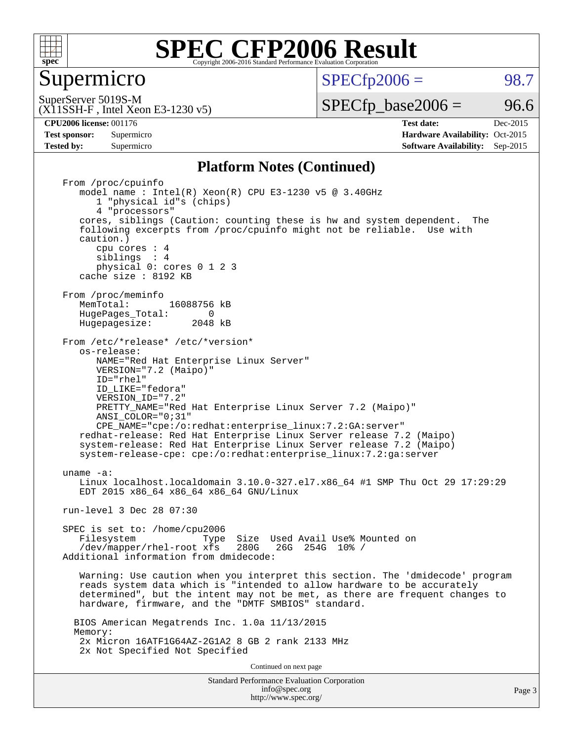

Supermicro

 $SPECTp2006 = 98.7$ 

(X11SSH-F , Intel Xeon E3-1230 v5) SuperServer 5019S-M

 $SPECTp\_base2006 = 96.6$ 

**[CPU2006 license:](http://www.spec.org/auto/cpu2006/Docs/result-fields.html#CPU2006license)** 001176 **[Test date:](http://www.spec.org/auto/cpu2006/Docs/result-fields.html#Testdate)** Dec-2015 **[Test sponsor:](http://www.spec.org/auto/cpu2006/Docs/result-fields.html#Testsponsor)** Supermicro Supermicro **[Hardware Availability:](http://www.spec.org/auto/cpu2006/Docs/result-fields.html#HardwareAvailability)** Oct-2015 **[Tested by:](http://www.spec.org/auto/cpu2006/Docs/result-fields.html#Testedby)** Supermicro **Supermicro [Software Availability:](http://www.spec.org/auto/cpu2006/Docs/result-fields.html#SoftwareAvailability)** Sep-2015

#### **[Platform Notes \(Continued\)](http://www.spec.org/auto/cpu2006/Docs/result-fields.html#PlatformNotes)**

Standard Performance Evaluation Corporation [info@spec.org](mailto:info@spec.org) From /proc/cpuinfo model name:  $Intel(R)$  Xeon $(R)$  CPU E3-1230 v5 @ 3.40GHz 1 "physical id"s (chips) 4 "processors" cores, siblings (Caution: counting these is hw and system dependent. The following excerpts from /proc/cpuinfo might not be reliable. Use with caution.) cpu cores : 4 siblings : 4 physical 0: cores 0 1 2 3 cache size : 8192 KB From /proc/meminfo<br>MemTotal: 16088756 kB HugePages\_Total: 0<br>Hugepagesize: 2048 kB Hugepagesize: From /etc/\*release\* /etc/\*version\* os-release: NAME="Red Hat Enterprise Linux Server" VERSION="7.2 (Maipo)" ID="rhel" ID\_LIKE="fedora" VERSION\_ID="7.2" PRETTY NAME="Red Hat Enterprise Linux Server 7.2 (Maipo)" ANSI\_COLOR="0;31" CPE\_NAME="cpe:/o:redhat:enterprise\_linux:7.2:GA:server" redhat-release: Red Hat Enterprise Linux Server release 7.2 (Maipo) system-release: Red Hat Enterprise Linux Server release 7.2 (Maipo) system-release-cpe: cpe:/o:redhat:enterprise\_linux:7.2:ga:server uname -a: Linux localhost.localdomain 3.10.0-327.el7.x86\_64 #1 SMP Thu Oct 29 17:29:29 EDT 2015 x86\_64 x86\_64 x86\_64 GNU/Linux run-level 3 Dec 28 07:30 SPEC is set to: /home/cpu2006 Type Size Used Avail Use% Mounted on /dev/mapper/rhel-root xfs 280G 26G 254G 10% / Additional information from dmidecode: Warning: Use caution when you interpret this section. The 'dmidecode' program reads system data which is "intended to allow hardware to be accurately determined", but the intent may not be met, as there are frequent changes to hardware, firmware, and the "DMTF SMBIOS" standard. BIOS American Megatrends Inc. 1.0a 11/13/2015 Memory: 2x Micron 16ATF1G64AZ-2G1A2 8 GB 2 rank 2133 MHz 2x Not Specified Not Specified Continued on next page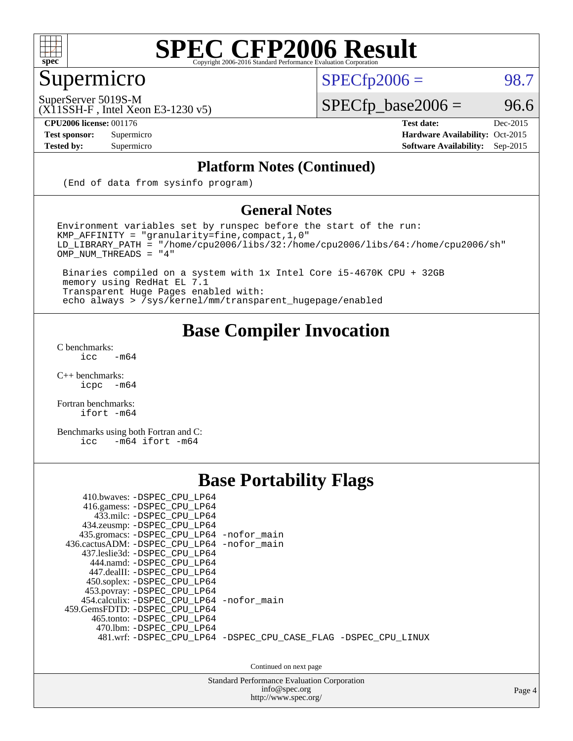

## Supermicro

 $SPECTp2006 = 98.7$ 

SuperServer 5019S-M

 $SPECfp\_base2006 = 96.6$ 

(X11SSH-F , Intel Xeon E3-1230 v5)

**[CPU2006 license:](http://www.spec.org/auto/cpu2006/Docs/result-fields.html#CPU2006license)** 001176 **[Test date:](http://www.spec.org/auto/cpu2006/Docs/result-fields.html#Testdate)** Dec-2015 **[Test sponsor:](http://www.spec.org/auto/cpu2006/Docs/result-fields.html#Testsponsor)** Supermicro Supermicro **[Hardware Availability:](http://www.spec.org/auto/cpu2006/Docs/result-fields.html#HardwareAvailability)** Oct-2015 **[Tested by:](http://www.spec.org/auto/cpu2006/Docs/result-fields.html#Testedby)** Supermicro **[Software Availability:](http://www.spec.org/auto/cpu2006/Docs/result-fields.html#SoftwareAvailability)** Sep-2015

#### **[Platform Notes \(Continued\)](http://www.spec.org/auto/cpu2006/Docs/result-fields.html#PlatformNotes)**

(End of data from sysinfo program)

#### **[General Notes](http://www.spec.org/auto/cpu2006/Docs/result-fields.html#GeneralNotes)**

Environment variables set by runspec before the start of the run:  $KMP_A$ FFINITY = "granularity=fine, compact, 1, 0" LD\_LIBRARY\_PATH = "/home/cpu2006/libs/32:/home/cpu2006/libs/64:/home/cpu2006/sh" OMP\_NUM\_THREADS = "4"

 Binaries compiled on a system with 1x Intel Core i5-4670K CPU + 32GB memory using RedHat EL 7.1 Transparent Huge Pages enabled with: echo always > /sys/kernel/mm/transparent\_hugepage/enabled

#### **[Base Compiler Invocation](http://www.spec.org/auto/cpu2006/Docs/result-fields.html#BaseCompilerInvocation)**

[C benchmarks](http://www.spec.org/auto/cpu2006/Docs/result-fields.html#Cbenchmarks):  $\text{icc}$  -m64

 $C++$  benchmarks:<br>icpc  $-m$ -m64

[Fortran benchmarks](http://www.spec.org/auto/cpu2006/Docs/result-fields.html#Fortranbenchmarks): [ifort -m64](http://www.spec.org/cpu2006/results/res2016q1/cpu2006-20151228-38539.flags.html#user_FCbase_intel_ifort_64bit_ee9d0fb25645d0210d97eb0527dcc06e)

[Benchmarks using both Fortran and C](http://www.spec.org/auto/cpu2006/Docs/result-fields.html#BenchmarksusingbothFortranandC): [icc -m64](http://www.spec.org/cpu2006/results/res2016q1/cpu2006-20151228-38539.flags.html#user_CC_FCbase_intel_icc_64bit_0b7121f5ab7cfabee23d88897260401c) [ifort -m64](http://www.spec.org/cpu2006/results/res2016q1/cpu2006-20151228-38539.flags.html#user_CC_FCbase_intel_ifort_64bit_ee9d0fb25645d0210d97eb0527dcc06e)

#### **[Base Portability Flags](http://www.spec.org/auto/cpu2006/Docs/result-fields.html#BasePortabilityFlags)**

| 410.bwaves: -DSPEC CPU LP64<br>416.gamess: -DSPEC_CPU_LP64<br>433.milc: -DSPEC CPU LP64<br>434.zeusmp: -DSPEC_CPU_LP64<br>435.gromacs: -DSPEC_CPU_LP64 -nofor_main<br>436.cactusADM: -DSPEC CPU LP64 -nofor main<br>437.leslie3d: -DSPEC CPU LP64<br>444.namd: - DSPEC_CPU_LP64<br>447.dealII: -DSPEC CPU LP64 |                                                                |
|----------------------------------------------------------------------------------------------------------------------------------------------------------------------------------------------------------------------------------------------------------------------------------------------------------------|----------------------------------------------------------------|
| 450.soplex: -DSPEC_CPU_LP64<br>453.povray: -DSPEC_CPU_LP64<br>454.calculix: -DSPEC CPU LP64 -nofor main<br>459. GemsFDTD: - DSPEC CPU LP64<br>465.tonto: - DSPEC CPU LP64<br>470.1bm: - DSPEC CPU LP64                                                                                                         | 481.wrf: -DSPEC_CPU_LP64 -DSPEC_CPU_CASE_FLAG -DSPEC_CPU_LINUX |

Continued on next page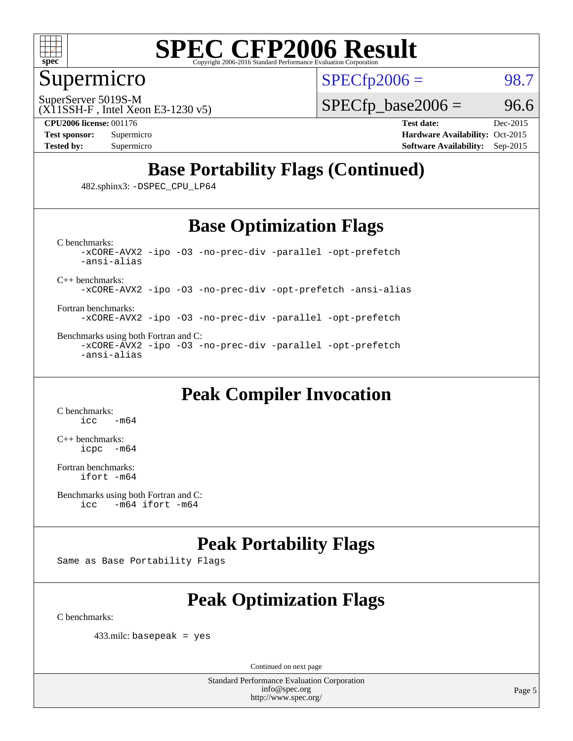

#### Supermicro

SuperServer 5019S-M

 $SPECTp2006 = 98.7$ 

(X11SSH-F , Intel Xeon E3-1230 v5)

 $SPECTp\_base2006 = 96.6$ 

**[CPU2006 license:](http://www.spec.org/auto/cpu2006/Docs/result-fields.html#CPU2006license)** 001176 **[Test date:](http://www.spec.org/auto/cpu2006/Docs/result-fields.html#Testdate)** Dec-2015 **[Test sponsor:](http://www.spec.org/auto/cpu2006/Docs/result-fields.html#Testsponsor)** Supermicro Supermicro **[Hardware Availability:](http://www.spec.org/auto/cpu2006/Docs/result-fields.html#HardwareAvailability)** Oct-2015 **[Tested by:](http://www.spec.org/auto/cpu2006/Docs/result-fields.html#Testedby)** Supermicro **Supermicro [Software Availability:](http://www.spec.org/auto/cpu2006/Docs/result-fields.html#SoftwareAvailability)** Sep-2015

## **[Base Portability Flags \(Continued\)](http://www.spec.org/auto/cpu2006/Docs/result-fields.html#BasePortabilityFlags)**

482.sphinx3: [-DSPEC\\_CPU\\_LP64](http://www.spec.org/cpu2006/results/res2016q1/cpu2006-20151228-38539.flags.html#suite_basePORTABILITY482_sphinx3_DSPEC_CPU_LP64)

#### **[Base Optimization Flags](http://www.spec.org/auto/cpu2006/Docs/result-fields.html#BaseOptimizationFlags)**

[C benchmarks](http://www.spec.org/auto/cpu2006/Docs/result-fields.html#Cbenchmarks): [-xCORE-AVX2](http://www.spec.org/cpu2006/results/res2016q1/cpu2006-20151228-38539.flags.html#user_CCbase_f-xAVX2_5f5fc0cbe2c9f62c816d3e45806c70d7) [-ipo](http://www.spec.org/cpu2006/results/res2016q1/cpu2006-20151228-38539.flags.html#user_CCbase_f-ipo) [-O3](http://www.spec.org/cpu2006/results/res2016q1/cpu2006-20151228-38539.flags.html#user_CCbase_f-O3) [-no-prec-div](http://www.spec.org/cpu2006/results/res2016q1/cpu2006-20151228-38539.flags.html#user_CCbase_f-no-prec-div) [-parallel](http://www.spec.org/cpu2006/results/res2016q1/cpu2006-20151228-38539.flags.html#user_CCbase_f-parallel) [-opt-prefetch](http://www.spec.org/cpu2006/results/res2016q1/cpu2006-20151228-38539.flags.html#user_CCbase_f-opt-prefetch) [-ansi-alias](http://www.spec.org/cpu2006/results/res2016q1/cpu2006-20151228-38539.flags.html#user_CCbase_f-ansi-alias)

[C++ benchmarks:](http://www.spec.org/auto/cpu2006/Docs/result-fields.html#CXXbenchmarks)

[-xCORE-AVX2](http://www.spec.org/cpu2006/results/res2016q1/cpu2006-20151228-38539.flags.html#user_CXXbase_f-xAVX2_5f5fc0cbe2c9f62c816d3e45806c70d7) [-ipo](http://www.spec.org/cpu2006/results/res2016q1/cpu2006-20151228-38539.flags.html#user_CXXbase_f-ipo) [-O3](http://www.spec.org/cpu2006/results/res2016q1/cpu2006-20151228-38539.flags.html#user_CXXbase_f-O3) [-no-prec-div](http://www.spec.org/cpu2006/results/res2016q1/cpu2006-20151228-38539.flags.html#user_CXXbase_f-no-prec-div) [-opt-prefetch](http://www.spec.org/cpu2006/results/res2016q1/cpu2006-20151228-38539.flags.html#user_CXXbase_f-opt-prefetch) [-ansi-alias](http://www.spec.org/cpu2006/results/res2016q1/cpu2006-20151228-38539.flags.html#user_CXXbase_f-ansi-alias)

[Fortran benchmarks](http://www.spec.org/auto/cpu2006/Docs/result-fields.html#Fortranbenchmarks): [-xCORE-AVX2](http://www.spec.org/cpu2006/results/res2016q1/cpu2006-20151228-38539.flags.html#user_FCbase_f-xAVX2_5f5fc0cbe2c9f62c816d3e45806c70d7) [-ipo](http://www.spec.org/cpu2006/results/res2016q1/cpu2006-20151228-38539.flags.html#user_FCbase_f-ipo) [-O3](http://www.spec.org/cpu2006/results/res2016q1/cpu2006-20151228-38539.flags.html#user_FCbase_f-O3) [-no-prec-div](http://www.spec.org/cpu2006/results/res2016q1/cpu2006-20151228-38539.flags.html#user_FCbase_f-no-prec-div) [-parallel](http://www.spec.org/cpu2006/results/res2016q1/cpu2006-20151228-38539.flags.html#user_FCbase_f-parallel) [-opt-prefetch](http://www.spec.org/cpu2006/results/res2016q1/cpu2006-20151228-38539.flags.html#user_FCbase_f-opt-prefetch)

[Benchmarks using both Fortran and C](http://www.spec.org/auto/cpu2006/Docs/result-fields.html#BenchmarksusingbothFortranandC): [-xCORE-AVX2](http://www.spec.org/cpu2006/results/res2016q1/cpu2006-20151228-38539.flags.html#user_CC_FCbase_f-xAVX2_5f5fc0cbe2c9f62c816d3e45806c70d7) [-ipo](http://www.spec.org/cpu2006/results/res2016q1/cpu2006-20151228-38539.flags.html#user_CC_FCbase_f-ipo) [-O3](http://www.spec.org/cpu2006/results/res2016q1/cpu2006-20151228-38539.flags.html#user_CC_FCbase_f-O3) [-no-prec-div](http://www.spec.org/cpu2006/results/res2016q1/cpu2006-20151228-38539.flags.html#user_CC_FCbase_f-no-prec-div) [-parallel](http://www.spec.org/cpu2006/results/res2016q1/cpu2006-20151228-38539.flags.html#user_CC_FCbase_f-parallel) [-opt-prefetch](http://www.spec.org/cpu2006/results/res2016q1/cpu2006-20151228-38539.flags.html#user_CC_FCbase_f-opt-prefetch) [-ansi-alias](http://www.spec.org/cpu2006/results/res2016q1/cpu2006-20151228-38539.flags.html#user_CC_FCbase_f-ansi-alias)

### **[Peak Compiler Invocation](http://www.spec.org/auto/cpu2006/Docs/result-fields.html#PeakCompilerInvocation)**

[C benchmarks](http://www.spec.org/auto/cpu2006/Docs/result-fields.html#Cbenchmarks):  $-m64$ 

[C++ benchmarks:](http://www.spec.org/auto/cpu2006/Docs/result-fields.html#CXXbenchmarks) [icpc -m64](http://www.spec.org/cpu2006/results/res2016q1/cpu2006-20151228-38539.flags.html#user_CXXpeak_intel_icpc_64bit_bedb90c1146cab66620883ef4f41a67e)

[Fortran benchmarks](http://www.spec.org/auto/cpu2006/Docs/result-fields.html#Fortranbenchmarks): [ifort -m64](http://www.spec.org/cpu2006/results/res2016q1/cpu2006-20151228-38539.flags.html#user_FCpeak_intel_ifort_64bit_ee9d0fb25645d0210d97eb0527dcc06e)

```
Benchmarks using both Fortran and C: 
icc -m64 ifort -m64
```
### **[Peak Portability Flags](http://www.spec.org/auto/cpu2006/Docs/result-fields.html#PeakPortabilityFlags)**

Same as Base Portability Flags

## **[Peak Optimization Flags](http://www.spec.org/auto/cpu2006/Docs/result-fields.html#PeakOptimizationFlags)**

[C benchmarks](http://www.spec.org/auto/cpu2006/Docs/result-fields.html#Cbenchmarks):

433.milc: basepeak = yes

Continued on next page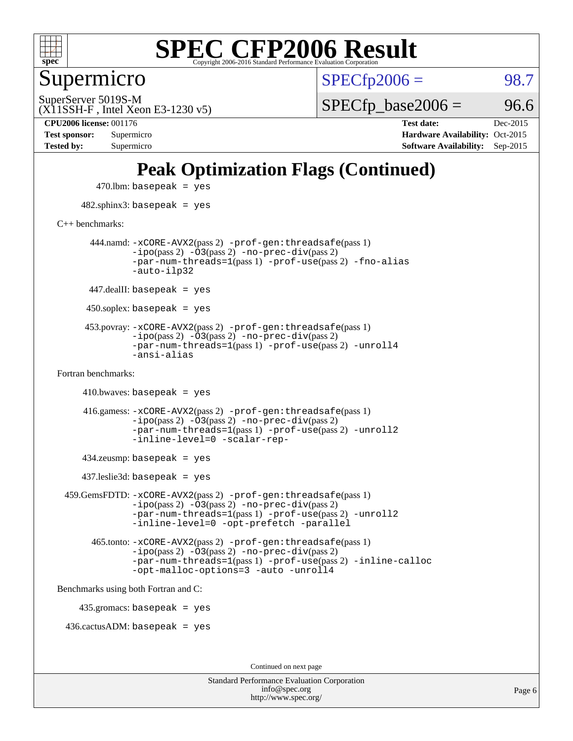

Supermicro

 $SPECTp2006 = 98.7$ 

(X11SSH-F , Intel Xeon E3-1230 v5) SuperServer 5019S-M

 $SPECTp\_base2006 = 96.6$ 

**[Tested by:](http://www.spec.org/auto/cpu2006/Docs/result-fields.html#Testedby)** Supermicro **[Software Availability:](http://www.spec.org/auto/cpu2006/Docs/result-fields.html#SoftwareAvailability)** Sep-2015

**[CPU2006 license:](http://www.spec.org/auto/cpu2006/Docs/result-fields.html#CPU2006license)** 001176 **[Test date:](http://www.spec.org/auto/cpu2006/Docs/result-fields.html#Testdate)** Dec-2015 **[Test sponsor:](http://www.spec.org/auto/cpu2006/Docs/result-fields.html#Testsponsor)** Supermicro **[Hardware Availability:](http://www.spec.org/auto/cpu2006/Docs/result-fields.html#HardwareAvailability)** Oct-2015

### **[Peak Optimization Flags \(Continued\)](http://www.spec.org/auto/cpu2006/Docs/result-fields.html#PeakOptimizationFlags)**

 $470$ .lbm: basepeak = yes 482.sphinx3: basepeak = yes [C++ benchmarks:](http://www.spec.org/auto/cpu2006/Docs/result-fields.html#CXXbenchmarks) 444.namd: [-xCORE-AVX2](http://www.spec.org/cpu2006/results/res2016q1/cpu2006-20151228-38539.flags.html#user_peakPASS2_CXXFLAGSPASS2_LDFLAGS444_namd_f-xAVX2_5f5fc0cbe2c9f62c816d3e45806c70d7)(pass 2) [-prof-gen:threadsafe](http://www.spec.org/cpu2006/results/res2016q1/cpu2006-20151228-38539.flags.html#user_peakPASS1_CXXFLAGSPASS1_LDFLAGS444_namd_prof_gen_21a26eb79f378b550acd7bec9fe4467a)(pass 1)  $-i\text{po}(pass 2) -\overline{0}3(pass 2) -no-prec-div(pass 2)$  $-i\text{po}(pass 2) -\overline{0}3(pass 2) -no-prec-div(pass 2)$  $-i\text{po}(pass 2) -\overline{0}3(pass 2) -no-prec-div(pass 2)$ [-par-num-threads=1](http://www.spec.org/cpu2006/results/res2016q1/cpu2006-20151228-38539.flags.html#user_peakPASS1_CXXFLAGSPASS1_LDFLAGS444_namd_par_num_threads_786a6ff141b4e9e90432e998842df6c2)(pass 1) [-prof-use](http://www.spec.org/cpu2006/results/res2016q1/cpu2006-20151228-38539.flags.html#user_peakPASS2_CXXFLAGSPASS2_LDFLAGS444_namd_prof_use_bccf7792157ff70d64e32fe3e1250b55)(pass 2) [-fno-alias](http://www.spec.org/cpu2006/results/res2016q1/cpu2006-20151228-38539.flags.html#user_peakCXXOPTIMIZEOPTIMIZE444_namd_f-no-alias_694e77f6c5a51e658e82ccff53a9e63a) [-auto-ilp32](http://www.spec.org/cpu2006/results/res2016q1/cpu2006-20151228-38539.flags.html#user_peakCXXOPTIMIZE444_namd_f-auto-ilp32)  $447$ .dealII: basepeak = yes 450.soplex: basepeak = yes 453.povray: [-xCORE-AVX2](http://www.spec.org/cpu2006/results/res2016q1/cpu2006-20151228-38539.flags.html#user_peakPASS2_CXXFLAGSPASS2_LDFLAGS453_povray_f-xAVX2_5f5fc0cbe2c9f62c816d3e45806c70d7)(pass 2) [-prof-gen:threadsafe](http://www.spec.org/cpu2006/results/res2016q1/cpu2006-20151228-38539.flags.html#user_peakPASS1_CXXFLAGSPASS1_LDFLAGS453_povray_prof_gen_21a26eb79f378b550acd7bec9fe4467a)(pass 1)  $-ipo(pass 2)$  $-ipo(pass 2)$   $-03(pass 2)$   $-no-prec-div(pass 2)$  $-no-prec-div(pass 2)$ [-par-num-threads=1](http://www.spec.org/cpu2006/results/res2016q1/cpu2006-20151228-38539.flags.html#user_peakPASS1_CXXFLAGSPASS1_LDFLAGS453_povray_par_num_threads_786a6ff141b4e9e90432e998842df6c2)(pass 1) [-prof-use](http://www.spec.org/cpu2006/results/res2016q1/cpu2006-20151228-38539.flags.html#user_peakPASS2_CXXFLAGSPASS2_LDFLAGS453_povray_prof_use_bccf7792157ff70d64e32fe3e1250b55)(pass 2) [-unroll4](http://www.spec.org/cpu2006/results/res2016q1/cpu2006-20151228-38539.flags.html#user_peakCXXOPTIMIZE453_povray_f-unroll_4e5e4ed65b7fd20bdcd365bec371b81f) [-ansi-alias](http://www.spec.org/cpu2006/results/res2016q1/cpu2006-20151228-38539.flags.html#user_peakCXXOPTIMIZE453_povray_f-ansi-alias) [Fortran benchmarks](http://www.spec.org/auto/cpu2006/Docs/result-fields.html#Fortranbenchmarks):  $410.bwaves: basepeak = yes$  416.gamess: [-xCORE-AVX2](http://www.spec.org/cpu2006/results/res2016q1/cpu2006-20151228-38539.flags.html#user_peakPASS2_FFLAGSPASS2_LDFLAGS416_gamess_f-xAVX2_5f5fc0cbe2c9f62c816d3e45806c70d7)(pass 2) [-prof-gen:threadsafe](http://www.spec.org/cpu2006/results/res2016q1/cpu2006-20151228-38539.flags.html#user_peakPASS1_FFLAGSPASS1_LDFLAGS416_gamess_prof_gen_21a26eb79f378b550acd7bec9fe4467a)(pass 1)  $-i\text{po}(pass 2)$   $-\tilde{O}3(pass 2)$   $-no-prec-div(pass 2)$  $-no-prec-div(pass 2)$ [-par-num-threads=1](http://www.spec.org/cpu2006/results/res2016q1/cpu2006-20151228-38539.flags.html#user_peakPASS1_FFLAGSPASS1_LDFLAGS416_gamess_par_num_threads_786a6ff141b4e9e90432e998842df6c2)(pass 1) [-prof-use](http://www.spec.org/cpu2006/results/res2016q1/cpu2006-20151228-38539.flags.html#user_peakPASS2_FFLAGSPASS2_LDFLAGS416_gamess_prof_use_bccf7792157ff70d64e32fe3e1250b55)(pass 2) [-unroll2](http://www.spec.org/cpu2006/results/res2016q1/cpu2006-20151228-38539.flags.html#user_peakOPTIMIZE416_gamess_f-unroll_784dae83bebfb236979b41d2422d7ec2) [-inline-level=0](http://www.spec.org/cpu2006/results/res2016q1/cpu2006-20151228-38539.flags.html#user_peakOPTIMIZE416_gamess_f-inline-level_318d07a09274ad25e8d15dbfaa68ba50) [-scalar-rep-](http://www.spec.org/cpu2006/results/res2016q1/cpu2006-20151228-38539.flags.html#user_peakOPTIMIZE416_gamess_f-disablescalarrep_abbcad04450fb118e4809c81d83c8a1d) 434.zeusmp: basepeak = yes 437.leslie3d: basepeak = yes 459.GemsFDTD: [-xCORE-AVX2](http://www.spec.org/cpu2006/results/res2016q1/cpu2006-20151228-38539.flags.html#user_peakPASS2_FFLAGSPASS2_LDFLAGS459_GemsFDTD_f-xAVX2_5f5fc0cbe2c9f62c816d3e45806c70d7)(pass 2) [-prof-gen:threadsafe](http://www.spec.org/cpu2006/results/res2016q1/cpu2006-20151228-38539.flags.html#user_peakPASS1_FFLAGSPASS1_LDFLAGS459_GemsFDTD_prof_gen_21a26eb79f378b550acd7bec9fe4467a)(pass 1)  $-i\text{po}(pass 2) -\overline{0}3(pass 2) -no-prec-div(pass 2)$  $-i\text{po}(pass 2) -\overline{0}3(pass 2) -no-prec-div(pass 2)$  $-i\text{po}(pass 2) -\overline{0}3(pass 2) -no-prec-div(pass 2)$ [-par-num-threads=1](http://www.spec.org/cpu2006/results/res2016q1/cpu2006-20151228-38539.flags.html#user_peakPASS1_FFLAGSPASS1_LDFLAGS459_GemsFDTD_par_num_threads_786a6ff141b4e9e90432e998842df6c2)(pass 1) [-prof-use](http://www.spec.org/cpu2006/results/res2016q1/cpu2006-20151228-38539.flags.html#user_peakPASS2_FFLAGSPASS2_LDFLAGS459_GemsFDTD_prof_use_bccf7792157ff70d64e32fe3e1250b55)(pass 2) [-unroll2](http://www.spec.org/cpu2006/results/res2016q1/cpu2006-20151228-38539.flags.html#user_peakOPTIMIZE459_GemsFDTD_f-unroll_784dae83bebfb236979b41d2422d7ec2) [-inline-level=0](http://www.spec.org/cpu2006/results/res2016q1/cpu2006-20151228-38539.flags.html#user_peakOPTIMIZE459_GemsFDTD_f-inline-level_318d07a09274ad25e8d15dbfaa68ba50) [-opt-prefetch](http://www.spec.org/cpu2006/results/res2016q1/cpu2006-20151228-38539.flags.html#user_peakOPTIMIZE459_GemsFDTD_f-opt-prefetch) [-parallel](http://www.spec.org/cpu2006/results/res2016q1/cpu2006-20151228-38539.flags.html#user_peakOPTIMIZE459_GemsFDTD_f-parallel) 465.tonto: [-xCORE-AVX2](http://www.spec.org/cpu2006/results/res2016q1/cpu2006-20151228-38539.flags.html#user_peakPASS2_FFLAGSPASS2_LDFLAGS465_tonto_f-xAVX2_5f5fc0cbe2c9f62c816d3e45806c70d7)(pass 2) [-prof-gen:threadsafe](http://www.spec.org/cpu2006/results/res2016q1/cpu2006-20151228-38539.flags.html#user_peakPASS1_FFLAGSPASS1_LDFLAGS465_tonto_prof_gen_21a26eb79f378b550acd7bec9fe4467a)(pass 1)  $-i\text{po}(pass 2) -\overline{O}3(pass 2)$  [-no-prec-div](http://www.spec.org/cpu2006/results/res2016q1/cpu2006-20151228-38539.flags.html#user_peakPASS2_FFLAGSPASS2_LDFLAGS465_tonto_f-no-prec-div)(pass 2) [-par-num-threads=1](http://www.spec.org/cpu2006/results/res2016q1/cpu2006-20151228-38539.flags.html#user_peakPASS1_FFLAGSPASS1_LDFLAGS465_tonto_par_num_threads_786a6ff141b4e9e90432e998842df6c2)(pass 1) [-prof-use](http://www.spec.org/cpu2006/results/res2016q1/cpu2006-20151228-38539.flags.html#user_peakPASS2_FFLAGSPASS2_LDFLAGS465_tonto_prof_use_bccf7792157ff70d64e32fe3e1250b55)(pass 2) [-inline-calloc](http://www.spec.org/cpu2006/results/res2016q1/cpu2006-20151228-38539.flags.html#user_peakOPTIMIZE465_tonto_f-inline-calloc) [-opt-malloc-options=3](http://www.spec.org/cpu2006/results/res2016q1/cpu2006-20151228-38539.flags.html#user_peakOPTIMIZE465_tonto_f-opt-malloc-options_13ab9b803cf986b4ee62f0a5998c2238) [-auto](http://www.spec.org/cpu2006/results/res2016q1/cpu2006-20151228-38539.flags.html#user_peakOPTIMIZE465_tonto_f-auto) [-unroll4](http://www.spec.org/cpu2006/results/res2016q1/cpu2006-20151228-38539.flags.html#user_peakOPTIMIZE465_tonto_f-unroll_4e5e4ed65b7fd20bdcd365bec371b81f) [Benchmarks using both Fortran and C](http://www.spec.org/auto/cpu2006/Docs/result-fields.html#BenchmarksusingbothFortranandC): 435.gromacs: basepeak = yes 436.cactusADM: basepeak = yes Continued on next page